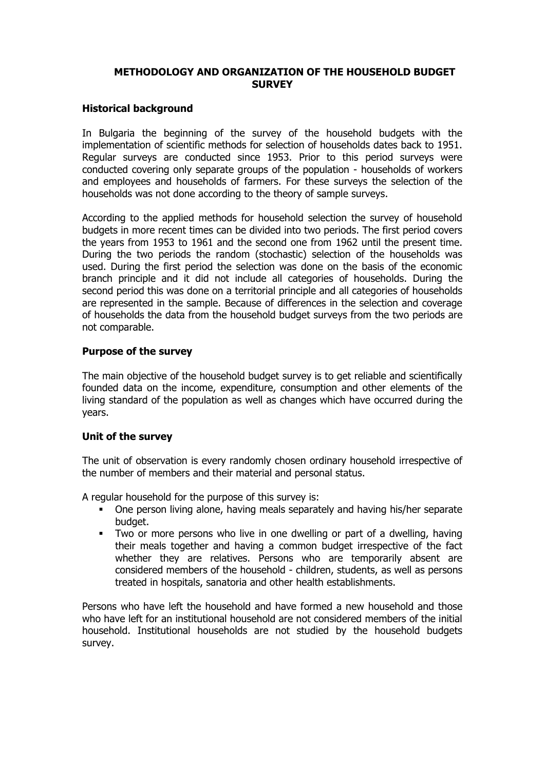## **METHODOLOGY AND ORGANIZATION OF THE HOUSEHOLD BUDGET SURVEY**

### **Historical background**

In Bulgaria the beginning of the survey of the household budgets with the implementation of scientific methods for selection of households dates back to 1951. Regular surveys are conducted since 1953. Prior to this period surveys were conducted covering only separate groups of the population - households of workers and employees and households of farmers. For these surveys the selection of the households was not done according to the theory of sample surveys.

According to the applied methods for household selection the survey of household budgets in more recent times can be divided into two periods. The first period covers the years from 1953 to 1961 and the second one from 1962 until the present time. During the two periods the random (stochastic) selection of the households was used. During the first period the selection was done on the basis of the economic branch principle and it did not include all categories of households. During the second period this was done on a territorial principle and all categories of households are represented in the sample. Because of differences in the selection and coverage of households the data from the household budget surveys from the two periods are not comparable.

## **Purpose of the survey**

The main objective of the household budget survey is to get reliable and scientifically founded data on the income, expenditure, consumption and other elements of the living standard of the population as well as changes which have occurred during the years.

## **Unit of the survey**

The unit of observation is every randomly chosen ordinary household irrespective of the number of members and their material and personal status.

A regular household for the purpose of this survey is:

- One person living alone, having meals separately and having his/her separate budget.
- Two or more persons who live in one dwelling or part of a dwelling, having their meals together and having a common budget irrespective of the fact whether they are relatives. Persons who are temporarily absent are considered members of the household - children, students, as well as persons treated in hospitals, sanatoria and other health establishments.

Persons who have left the household and have formed a new household and those who have left for an institutional household are not considered members of the initial household. Institutional households are not studied by the household budgets survey.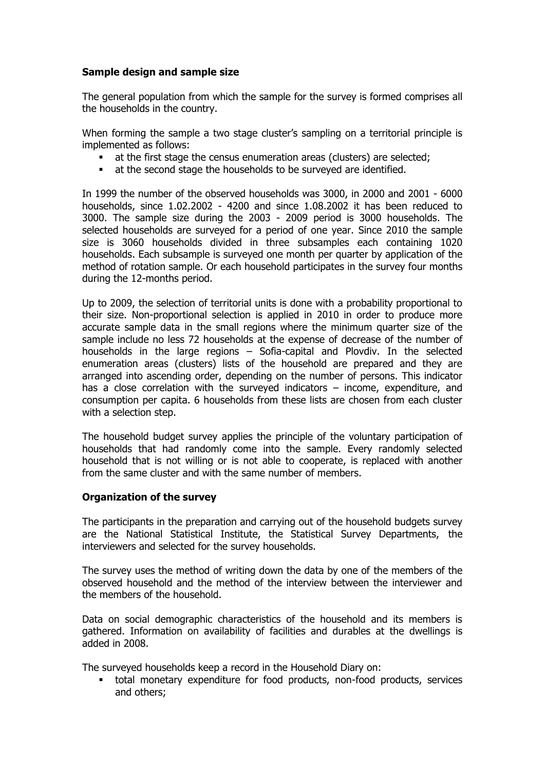# **Sample design and sample size**

The general population from which the sample for the survey is formed comprises all the households in the country.

When forming the sample a two stage cluster's sampling on a territorial principle is implemented as follows:

- at the first stage the census enumeration areas (clusters) are selected;
- at the second stage the households to be surveyed are identified.

In 1999 the number of the observed households was 3000, in 2000 and 2001 - 6000 households, since 1.02.2002 - 4200 and since 1.08.2002 it has been reduced to 3000. The sample size during the 2003 - 2009 period is 3000 households. The selected households are surveyed for a period of one year. Since 2010 the sample size is 3060 households divided in three subsamples each containing 1020 households. Each subsample is surveyed one month per quarter by application of the method of rotation sample. Or each household participates in the survey four months during the 12-months period.

Up to 2009, the selection of territorial units is done with a probability proportional to their size. Non-proportional selection is applied in 2010 in order to produce more accurate sample data in the small regions where the minimum quarter size of the sample include no less 72 households at the expense of decrease of the number of households in the large regions – Sofia-capital and Plovdiv. In the selected enumeration areas (clusters) lists of the household are prepared and they are arranged into ascending order, depending on the number of persons. This indicator has a close correlation with the surveyed indicators – income, expenditure, and consumption per capita. 6 households from these lists are chosen from each cluster with a selection step.

The household budget survey applies the principle of the voluntary participation of households that had randomly come into the sample. Every randomly selected household that is not willing or is not able to cooperate, is replaced with another from the same cluster and with the same number of members.

## **Organization of the survey**

The participants in the preparation and carrying out of the household budgets survey are the National Statistical Institute, the Statistical Survey Departments, the interviewers and selected for the survey households.

The survey uses the method of writing down the data by one of the members of the observed household and the method of the interview between the interviewer and the members of the household.

Data on social demographic characteristics of the household and its members is gathered. Information on availability of facilities and durables at the dwellings is added in 2008.

The surveyed households keep a record in the Household Diary on:

 total monetary expenditure for food products, non-food products, services and others;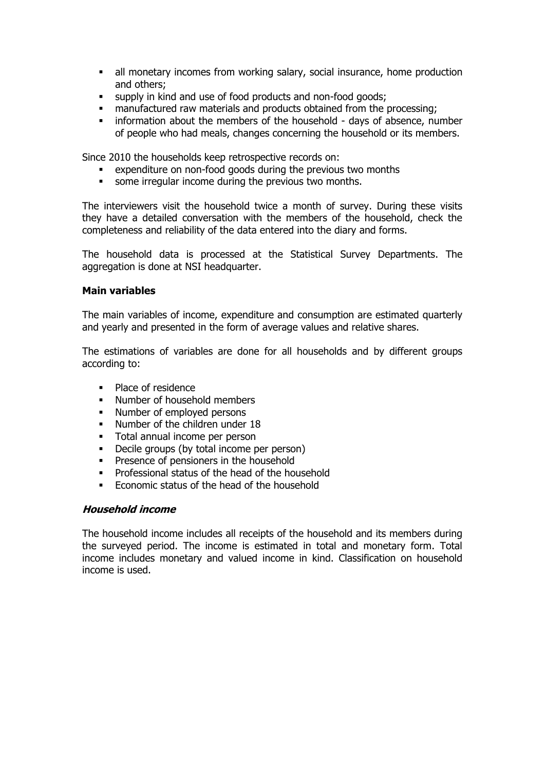- all monetary incomes from working salary, social insurance, home production and others;
- supply in kind and use of food products and non-food goods;
- manufactured raw materials and products obtained from the processing;
- **EXECT** information about the members of the household days of absence, number of people who had meals, changes concerning the household or its members.

Since 2010 the households keep retrospective records on:

- expenditure on non-food goods during the previous two months
- some irregular income during the previous two months.

The interviewers visit the household twice a month of survey. During these visits they have a detailed conversation with the members of the household, check the completeness and reliability of the data entered into the diary and forms.

The household data is processed at the Statistical Survey Departments. The aggregation is done at NSI headquarter.

#### **Main variables**

The main variables of income, expenditure and consumption are estimated quarterly and yearly and presented in the form of average values and relative shares.

The estimations of variables are done for all households and by different groups according to:

- Place of residence
- Number of household members
- Number of employed persons
- Number of the children under 18
- **Total annual income per person**
- Decile groups (by total income per person)
- **Presence of pensioners in the household**
- Professional status of the head of the household
- Economic status of the head of the household

# **Household income**

The household income includes all receipts of the household and its members during the surveyed period. The income is estimated in total and monetary form. Total income includes monetary and valued income in kind. Classification on household income is used.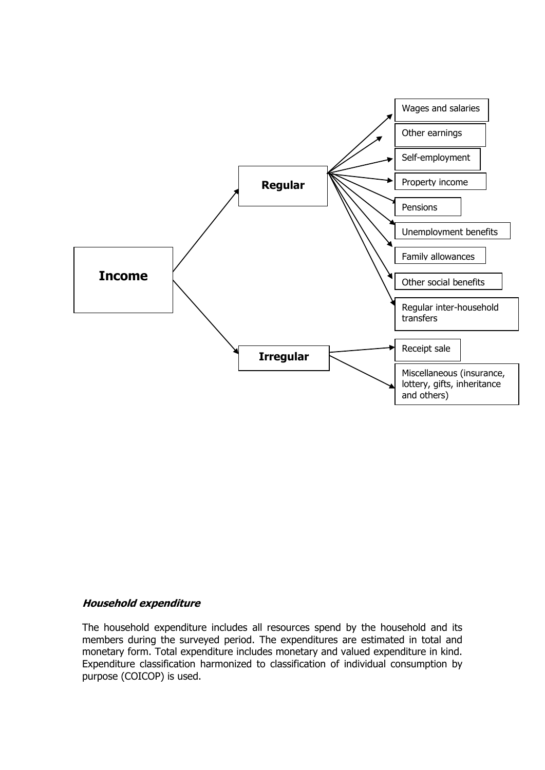

## **Household expenditure**

The household expenditure includes all resources spend by the household and its members during the surveyed period. The expenditures are estimated in total and monetary form. Total expenditure includes monetary and valued expenditure in kind. Expenditure classification harmonized to classification of individual consumption by purpose (COICOP) is used.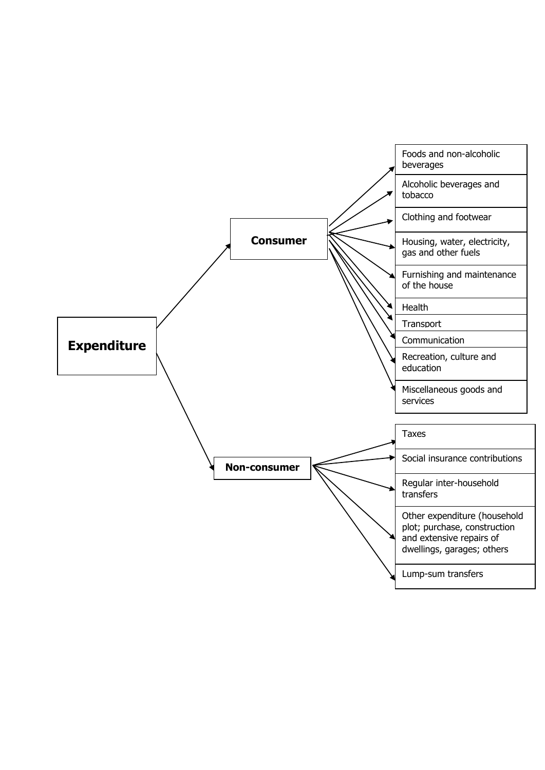